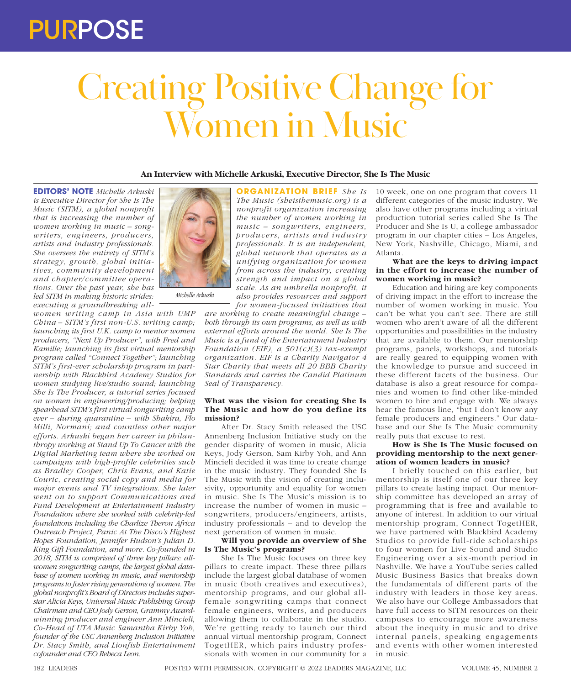# PURPOSE

# Creating Positive Change for Women in Music

**An Interview with Michelle Arkuski, Executive Director, She Is The Music**

**EDITORS' NOTE** *Michelle Arkuski is Executive Director for She Is The Music (SITM), a global nonprofit that is increasing the number of women working in music – songwriters, engineers, producers, artists and industry professionals. She oversees the entirety of SITM's strategy, growth, global initiatives, community development and chapter/committee operations. Over the past year, she has led SITM in making historic strides: executing a groundbreaking all-*

*women writing camp in Asia with UMP China – SITM's first non-U.S. writing camp; launching its first U.K. camp to mentor women producers, "Next Up Producer", with Fred and Kamille; launching its first virtual mentorship program called "Connect Together"; launching SITM's first-ever scholarship program in partnership with Blackbird Academy Studios for women studying live/studio sound; launching She Is The Producer, a tutorial series focused on women in engineering/producing; helping spearhead SITM's first virtual songwriting camp ever – during quarantine – with Shakira, Flo Milli, Normani; and countless other major efforts. Arkuski began her career in philanthropy working at Stand Up To Cancer with the Digital Marketing team where she worked on campaigns with high-profile celebrities such as Bradley Cooper, Chris Evans, and Katie Couric, creating social copy and media for major events and TV integrations. She later went on to support Communications and Fund Development at Entertainment Industry Foundation where she worked with celebrity-led foundations including the Charlize Theron Africa Outreach Project, Panic At The Disco's Highest Hopes Foundation, Jennifer Hudson's Julian D. King Gift Foundation, and more. Co-founded in 2018, SITM is comprised of three key pillars: allwomen songwriting camps, the largest global database of women working in music, and mentorship programs to foster rising generations of women. The global nonprofit's Board of Directors includes superstar Alicia Keys, Universal Music Publishing Group Chairman and CEO Jody Gerson, Grammy Awardwinning producer and engineer Ann Mincieli, Co-Head of UTA Music Samantha Kirby Yoh, founder of the USC Annenberg Inclusion Initiative Dr. Stacy Smith, and Lionfish Entertainment cofounder and CEO Rebeca Leon.*



*Michelle Arkuski*

**ORGANIZATION BRIEF** *She Is The Music (sheisthemusic.org) is a nonprofit organization increasing the number of women working in music – songwriters, engineers, pr oducers, artists and industry professionals. It is an independent, global network that operates as a unifying organization for women from across the industry, creating strength and impact on a global scale. As an umbrella nonprofit, it also provides resources and support for women-focused initiatives that* 

*are working to create meaningful change – both through its own programs, as well as with external efforts around the world. She Is The Music is a fund of the Entertainment Industry Foundation (EIF), a 501(c)(3) tax-exempt organization. EIF is a Charity Navigator 4 Star Charity that meets all 20 BBB Charity Standards and carries the Candid Platinum Seal of Transparency.*

#### **What was the vision for creating She Is The Music and how do you define its mission?**

After Dr. Stacy Smith released the USC Annenberg Inclusion Initiative study on the gender disparity of women in music, Alicia Keys, Jody Gerson, Sam Kirby Yoh, and Ann Mincieli decided it was time to create change in the music industry. They founded She Is The Music with the vision of creating inclusivity, opportunity and equality for women in music. She Is The Music's mission is to increase the number of women in music – songwriters, producers/engineers, artists, industry professionals – and to develop the next generation of women in music.

#### **Will you provide an overview of She Is The Music's programs?**

She Is The Music focuses on three key pillars to create impact. These three pillars include the largest global database of women in music (both creatives and executives), mentorship programs, and our global allfemale songwriting camps that connect female engineers, writers, and producers allowing them to collaborate in the studio. We're getting ready to launch our third annual virtual mentorship program, Connect TogetHER, which pairs industry professionals with women in our community for a 10 week, one on one program that covers 11 different categories of the music industry. We also have other programs including a virtual production tutorial series called She Is The Producer and She Is U, a college ambassador program in our chapter cities – Los Angeles, New York, Nashville, Chicago, Miami, and Atlanta.

#### **What are the keys to driving impact in the effort to increase the number of women working in music?**

Education and hiring are key components of driving impact in the effort to increase the number of women working in music. You can't be what you can't see. There are still women who aren't aware of all the different opportunities and possibilities in the industry that are available to them. Our mentorship programs, panels, workshops, and tutorials are really geared to equipping women with the knowledge to pursue and succeed in these different facets of the business. Our database is also a great resource for companies and women to find other like-minded women to hire and engage with. We always hear the famous line, "but I don't know any female producers and engineers." Our database and our She Is The Music community really puts that excuse to rest.

#### **How is She Is The Music focused on providing mentorship to the next generation of women leaders in music?**

I briefly touched on this earlier, but mentorship is itself one of our three key pillars to create lasting impact. Our mentorship committee has developed an array of programming that is free and available to anyone of interest. In addition to our virtual mentorship program, Connect TogetHER, we have partnered with Blackbird Academy Studios to provide full-ride scholarships to four women for Live Sound and Studio Engineering over a six-month period in Nashville. We have a YouTube series called Music Business Basics that breaks down the fundamentals of different parts of the industry with leaders in those key areas. We also have our College Ambassadors that have full access to SITM resources on their campuses to encourage more awareness about the inequity in music and to drive internal panels, speaking engagements and events with other women interested in music.